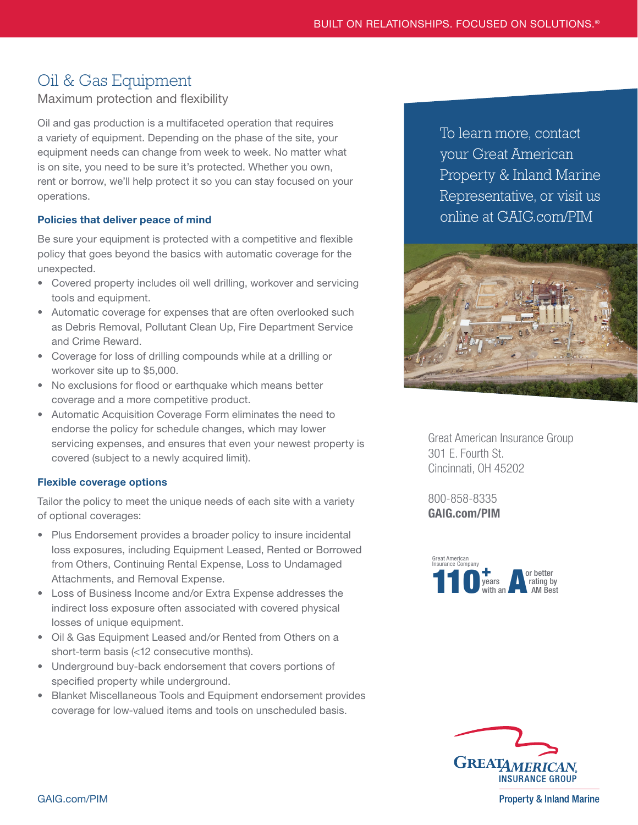# Oil & Gas Equipment

Maximum protection and flexibility

Oil and gas production is a multifaceted operation that requires a variety of equipment. Depending on the phase of the site, your equipment needs can change from week to week. No matter what is on site, you need to be sure it's protected. Whether you own, rent or borrow, we'll help protect it so you can stay focused on your operations.

# Policies that deliver peace of mind

Be sure your equipment is protected with a competitive and flexible policy that goes beyond the basics with automatic coverage for the unexpected.

- Covered property includes oil well drilling, workover and servicing tools and equipment.
- Automatic coverage for expenses that are often overlooked such as Debris Removal, Pollutant Clean Up, Fire Department Service and Crime Reward.
- Coverage for loss of drilling compounds while at a drilling or workover site up to \$5,000.
- No exclusions for flood or earthquake which means better coverage and a more competitive product.
- Automatic Acquisition Coverage Form eliminates the need to endorse the policy for schedule changes, which may lower servicing expenses, and ensures that even your newest property is covered (subject to a newly acquired limit).

### Flexible coverage options

Tailor the policy to meet the unique needs of each site with a variety of optional coverages:

- Plus Endorsement provides a broader policy to insure incidental loss exposures, including Equipment Leased, Rented or Borrowed from Others, Continuing Rental Expense, Loss to Undamaged Attachments, and Removal Expense.
- Loss of Business Income and/or Extra Expense addresses the indirect loss exposure often associated with covered physical losses of unique equipment.
- Oil & Gas Equipment Leased and/or Rented from Others on a short-term basis (<12 consecutive months).
- Underground buy-back endorsement that covers portions of specified property while underground.
- Blanket Miscellaneous Tools and Equipment endorsement provides coverage for low-valued items and tools on unscheduled basis.

To learn more, contact your Great American Property & Inland Marine Representative, or visit us online at [GAIG.com/PIM](https://www.greatamericaninsurancegroup.com/for-businesses/division-details/property-inland-marine)



Great American Insurance Group 301 E. Fourth St. Cincinnati, OH 45202

800-858-8335 [GAIG.com/PIM](https://www.greatamericaninsurancegroup.com/for-businesses/division-details/property-inland-marine)





**Property & Inland Marine**